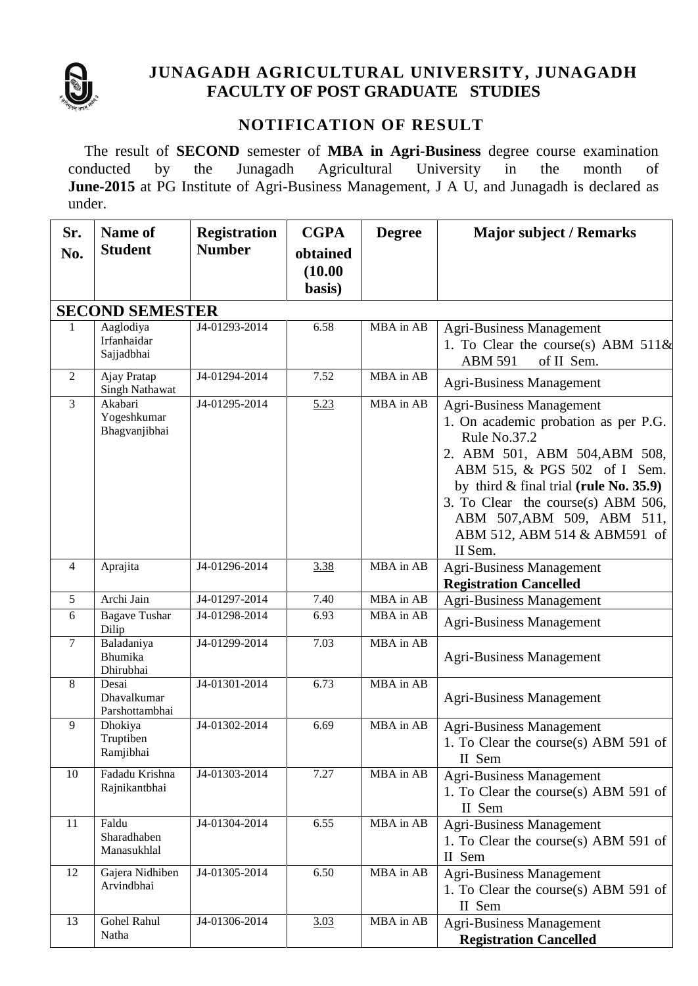

## **JUNAGADH AGRICULTURAL UNIVERSITY, JUNAGADH FACULTY OF POST GRADUATE STUDIES**

### **NOTIFICATION OF RESULT**

The result of **SECOND** semester of **MBA in Agri-Business** degree course examination conducted by the Junagadh Agricultural University in the month of **June-2015** at PG Institute of Agri-Business Management, J A U, and Junagadh is declared as under.

| Sr.                    | <b>Name of</b>                          | <b>Registration</b> | <b>CGPA</b>       | <b>Degree</b> | <b>Major subject / Remarks</b>                                                                                                                                                                                                                                                                                       |  |  |  |
|------------------------|-----------------------------------------|---------------------|-------------------|---------------|----------------------------------------------------------------------------------------------------------------------------------------------------------------------------------------------------------------------------------------------------------------------------------------------------------------------|--|--|--|
| No.                    | <b>Student</b>                          | <b>Number</b>       | obtained          |               |                                                                                                                                                                                                                                                                                                                      |  |  |  |
|                        |                                         |                     | (10.00)<br>basis) |               |                                                                                                                                                                                                                                                                                                                      |  |  |  |
| <b>SECOND SEMESTER</b> |                                         |                     |                   |               |                                                                                                                                                                                                                                                                                                                      |  |  |  |
| 1                      | Aaglodiya<br>Irfanhaidar<br>Sajjadbhai  | J4-01293-2014       | 6.58              | MBA in AB     | <b>Agri-Business Management</b><br>1. To Clear the course(s) ABM $511\&$<br><b>ABM 591</b><br>of II Sem.                                                                                                                                                                                                             |  |  |  |
| 2                      | Ajay Pratap<br><b>Singh Nathawat</b>    | J4-01294-2014       | 7.52              | MBA in AB     | <b>Agri-Business Management</b>                                                                                                                                                                                                                                                                                      |  |  |  |
| $\mathfrak{Z}$         | Akabari<br>Yogeshkumar<br>Bhagvanjibhai | J4-01295-2014       | 5.23              | MBA in AB     | <b>Agri-Business Management</b><br>1. On academic probation as per P.G.<br>Rule No.37.2<br>2. ABM 501, ABM 504, ABM 508,<br>ABM 515, & PGS 502 of I Sem.<br>by third $\&$ final trial (rule No. 35.9)<br>3. To Clear the course(s) ABM 506,<br>ABM 507, ABM 509, ABM 511,<br>ABM 512, ABM 514 & ABM591 of<br>II Sem. |  |  |  |
| $\overline{4}$         | Aprajita                                | J4-01296-2014       | 3.38              | MBA in AB     | <b>Agri-Business Management</b><br><b>Registration Cancelled</b>                                                                                                                                                                                                                                                     |  |  |  |
| 5                      | Archi Jain                              | J4-01297-2014       | 7.40              | MBA in AB     | <b>Agri-Business Management</b>                                                                                                                                                                                                                                                                                      |  |  |  |
| 6                      | <b>Bagave Tushar</b><br>Dilip           | J4-01298-2014       | 6.93              | MBA in AB     | <b>Agri-Business Management</b>                                                                                                                                                                                                                                                                                      |  |  |  |
| $7\phantom{.0}$        | Baladaniya<br>Bhumika<br>Dhirubhai      | J4-01299-2014       | 7.03              | MBA in AB     | <b>Agri-Business Management</b>                                                                                                                                                                                                                                                                                      |  |  |  |
| 8                      | Desai<br>Dhavalkumar<br>Parshottambhai  | J4-01301-2014       | 6.73              | MBA in AB     | <b>Agri-Business Management</b>                                                                                                                                                                                                                                                                                      |  |  |  |
| 9                      | Dhokiya<br>Truptiben<br>Ramjibhai       | J4-01302-2014       | 6.69              | MBA in AB     | <b>Agri-Business Management</b><br>1. To Clear the course(s) ABM 591 of $\vert$<br>II Sem                                                                                                                                                                                                                            |  |  |  |
| 10                     | Fadadu Krishna<br>Rajnikantbhai         | J4-01303-2014       | 7.27              | MBA in AB     | Agri-Business Management<br>1. To Clear the course(s) ABM 591 of<br>II Sem                                                                                                                                                                                                                                           |  |  |  |
| 11                     | Faldu<br>Sharadhaben<br>Manasukhlal     | J4-01304-2014       | 6.55              | MBA in AB     | Agri-Business Management<br>1. To Clear the course(s) ABM 591 of<br>II Sem                                                                                                                                                                                                                                           |  |  |  |
| 12                     | Gajera Nidhiben<br>Arvindbhai           | J4-01305-2014       | 6.50              | MBA in AB     | Agri-Business Management<br>1. To Clear the course(s) ABM 591 of<br>II Sem                                                                                                                                                                                                                                           |  |  |  |
| 13                     | Gohel Rahul<br>Natha                    | J4-01306-2014       | 3.03              | MBA in AB     | Agri-Business Management<br><b>Registration Cancelled</b>                                                                                                                                                                                                                                                            |  |  |  |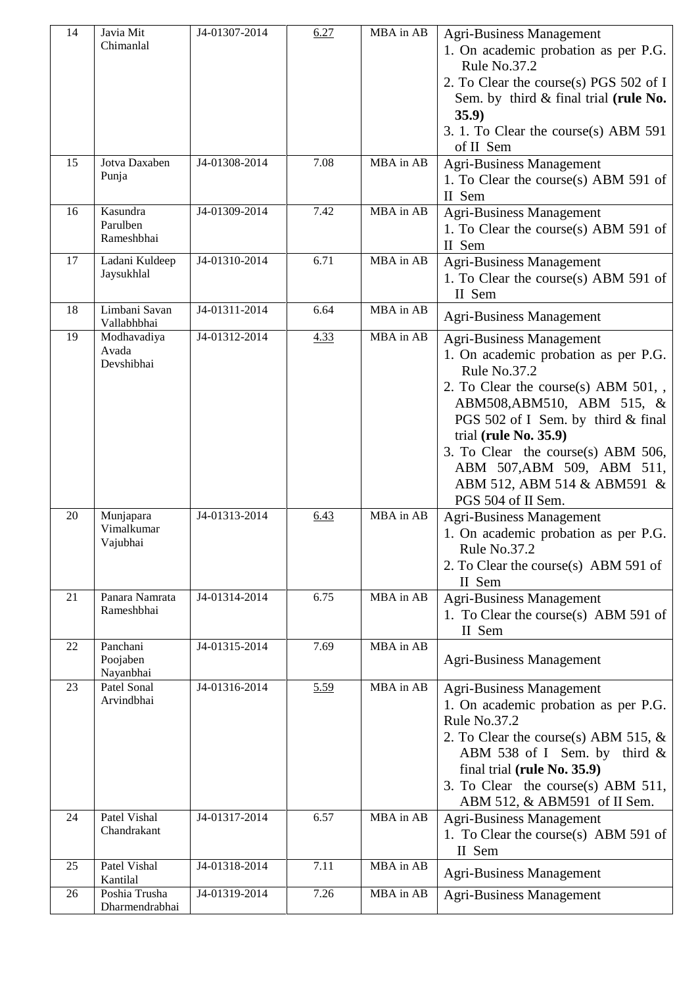| 14 | Javia Mit<br>Chimanlal              | J4-01307-2014 | 6.27 | MBA in AB | <b>Agri-Business Management</b><br>1. On academic probation as per P.G.<br>Rule No.37.2<br>2. To Clear the course(s) PGS 502 of I<br>Sem. by third & final trial (rule No.<br>35.9)<br>3. 1. To Clear the course(s) ABM 591<br>of II Sem                                                                                                                |
|----|-------------------------------------|---------------|------|-----------|---------------------------------------------------------------------------------------------------------------------------------------------------------------------------------------------------------------------------------------------------------------------------------------------------------------------------------------------------------|
| 15 | Jotva Daxaben<br>Punja              | J4-01308-2014 | 7.08 | MBA in AB | <b>Agri-Business Management</b><br>1. To Clear the course(s) ABM 591 of<br>II Sem                                                                                                                                                                                                                                                                       |
| 16 | Kasundra<br>Parulben<br>Rameshbhai  | J4-01309-2014 | 7.42 | MBA in AB | <b>Agri-Business Management</b><br>1. To Clear the course(s) ABM 591 of<br>II Sem                                                                                                                                                                                                                                                                       |
| 17 | Ladani Kuldeep<br>Jaysukhlal        | J4-01310-2014 | 6.71 | MBA in AB | Agri-Business Management<br>1. To Clear the course(s) ABM 591 of<br>II Sem                                                                                                                                                                                                                                                                              |
| 18 | Limbani Savan<br>Vallabhbhai        | J4-01311-2014 | 6.64 | MBA in AB | <b>Agri-Business Management</b>                                                                                                                                                                                                                                                                                                                         |
| 19 | Modhavadiya<br>Avada<br>Devshibhai  | J4-01312-2014 | 4.33 | MBA in AB | <b>Agri-Business Management</b><br>1. On academic probation as per P.G.<br>Rule No.37.2<br>2. To Clear the course(s) ABM $501,$ ,<br>ABM508, ABM510, ABM 515, &<br>PGS 502 of I Sem. by third & final<br>trial (rule No. 35.9)<br>3. To Clear the course(s) ABM 506,<br>ABM 507, ABM 509, ABM 511,<br>ABM 512, ABM 514 & ABM591 &<br>PGS 504 of II Sem. |
| 20 | Munjapara<br>Vimalkumar<br>Vajubhai | J4-01313-2014 | 6.43 | MBA in AB | <b>Agri-Business Management</b><br>1. On academic probation as per P.G.<br><b>Rule No.37.2</b><br>2. To Clear the course(s) ABM 591 of<br>II Sem                                                                                                                                                                                                        |
| 21 | Panara Namrata<br>Rameshbhai        | J4-01314-2014 | 6.75 | MBA in AB | <b>Agri-Business Management</b><br>1. To Clear the course(s) ABM 591 of<br>II Sem                                                                                                                                                                                                                                                                       |
| 22 | Panchani<br>Poojaben<br>Nayanbhai   | J4-01315-2014 | 7.69 | MBA in AB | <b>Agri-Business Management</b>                                                                                                                                                                                                                                                                                                                         |
| 23 | Patel Sonal<br>Arvindbhai           | J4-01316-2014 | 5.59 | MBA in AB | Agri-Business Management<br>1. On academic probation as per P.G.<br>Rule No.37.2<br>2. To Clear the course(s) ABM 515, $&$<br>ABM 538 of I Sem. by third &<br>final trial (rule No. 35.9)<br>3. To Clear the course(s) ABM 511,<br>ABM 512, & ABM591 of II Sem.                                                                                         |
| 24 | Patel Vishal<br>Chandrakant         | J4-01317-2014 | 6.57 | MBA in AB | <b>Agri-Business Management</b><br>1. To Clear the course(s) ABM 591 of<br>II Sem                                                                                                                                                                                                                                                                       |
| 25 | Patel Vishal<br>Kantilal            | J4-01318-2014 | 7.11 | MBA in AB | <b>Agri-Business Management</b>                                                                                                                                                                                                                                                                                                                         |
| 26 | Poshia Trusha<br>Dharmendrabhai     | J4-01319-2014 | 7.26 | MBA in AB | <b>Agri-Business Management</b>                                                                                                                                                                                                                                                                                                                         |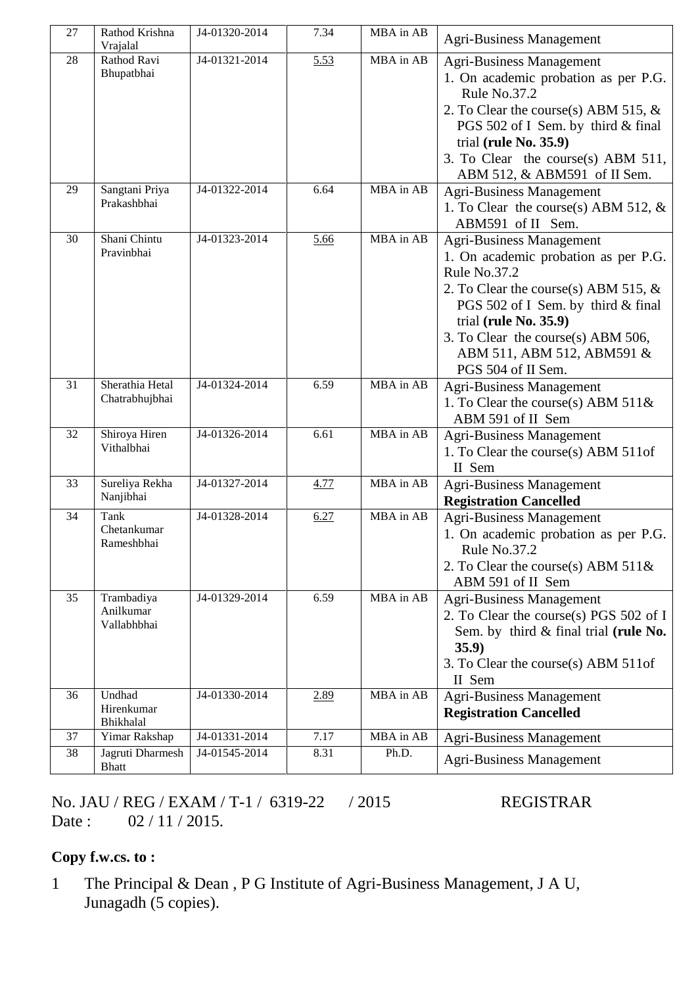| 27 | Rathod Krishna<br>Vrajalal             | J4-01320-2014 | 7.34 | MBA in AB | <b>Agri-Business Management</b>                                                                                                                                                                                                                                                               |
|----|----------------------------------------|---------------|------|-----------|-----------------------------------------------------------------------------------------------------------------------------------------------------------------------------------------------------------------------------------------------------------------------------------------------|
| 28 | Rathod Ravi<br>Bhupatbhai              | J4-01321-2014 | 5.53 | MBA in AB | <b>Agri-Business Management</b><br>1. On academic probation as per P.G.<br>Rule No.37.2<br>2. To Clear the course(s) ABM 515, $&$<br>PGS 502 of I Sem. by third & final<br>trial (rule $No. 35.9$ )<br>3. To Clear the course(s) ABM 511,<br>ABM 512, & ABM591 of II Sem.                     |
| 29 | Sangtani Priya<br>Prakashbhai          | J4-01322-2014 | 6.64 | MBA in AB | <b>Agri-Business Management</b><br>1. To Clear the course(s) ABM 512, $&$<br>ABM591 of II Sem.                                                                                                                                                                                                |
| 30 | Shani Chintu<br>Pravinbhai             | J4-01323-2014 | 5.66 | MBA in AB | <b>Agri-Business Management</b><br>1. On academic probation as per P.G.<br>Rule No.37.2<br>2. To Clear the course(s) ABM 515, $&$<br>PGS 502 of I Sem. by third & final<br>trial (rule $No. 35.9$ )<br>3. To Clear the course(s) ABM 506,<br>ABM 511, ABM 512, ABM591 &<br>PGS 504 of II Sem. |
| 31 | Sherathia Hetal<br>Chatrabhujbhai      | J4-01324-2014 | 6.59 | MBA in AB | <b>Agri-Business Management</b><br>1. To Clear the course(s) ABM $511\&$<br>ABM 591 of II Sem                                                                                                                                                                                                 |
| 32 | Shiroya Hiren<br>Vithalbhai            | J4-01326-2014 | 6.61 | MBA in AB | Agri-Business Management<br>1. To Clear the course(s) ABM 511of<br>II Sem                                                                                                                                                                                                                     |
| 33 | Sureliya Rekha<br>Nanjibhai            | J4-01327-2014 | 4.77 | MBA in AB | Agri-Business Management<br><b>Registration Cancelled</b>                                                                                                                                                                                                                                     |
| 34 | Tank<br>Chetankumar<br>Rameshbhai      | J4-01328-2014 | 6.27 | MBA in AB | Agri-Business Management<br>1. On academic probation as per P.G.<br>Rule No.37.2<br>2. To Clear the course(s) ABM $511\&$<br>ABM 591 of II Sem                                                                                                                                                |
| 35 | Trambadiya<br>Anilkumar<br>Vallabhbhai | J4-01329-2014 | 6.59 | MBA in AB | <b>Agri-Business Management</b><br>2. To Clear the course(s) PGS 502 of I<br>Sem. by third & final trial (rule No.<br>35.9)<br>3. To Clear the course(s) ABM 511of<br>II Sem                                                                                                                  |
| 36 | Undhad<br>Hirenkumar<br>Bhikhalal      | J4-01330-2014 | 2.89 | MBA in AB | <b>Agri-Business Management</b><br><b>Registration Cancelled</b>                                                                                                                                                                                                                              |
| 37 | Yimar Rakshap                          | J4-01331-2014 | 7.17 | MBA in AB | <b>Agri-Business Management</b>                                                                                                                                                                                                                                                               |
| 38 | Jagruti Dharmesh<br><b>Bhatt</b>       | J4-01545-2014 | 8.31 | Ph.D.     | <b>Agri-Business Management</b>                                                                                                                                                                                                                                                               |

No. JAU / REG / EXAM / T-1 / 6319-22 / 2015 REGISTRAR Date : 02 / 11 / 2015.

#### **Copy f.w.cs. to :**

1 The Principal & Dean , P G Institute of Agri-Business Management, J A U, Junagadh (5 copies).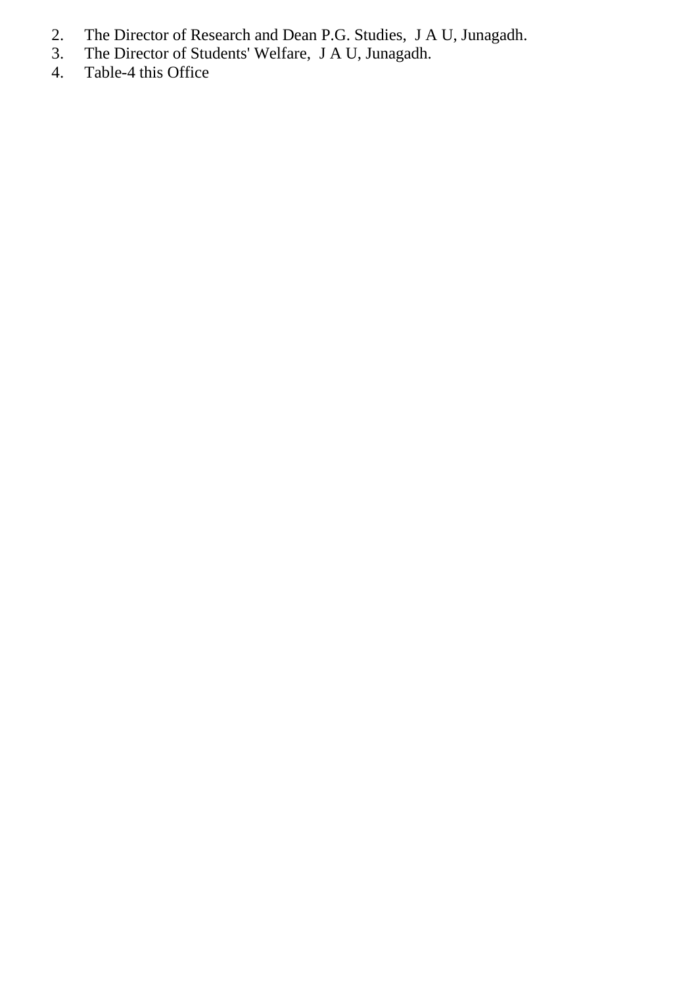- 2. The Director of Research and Dean P.G. Studies, J A U, Junagadh.
- 3. The Director of Students' Welfare, J A U, Junagadh.
- 4. Table-4 this Office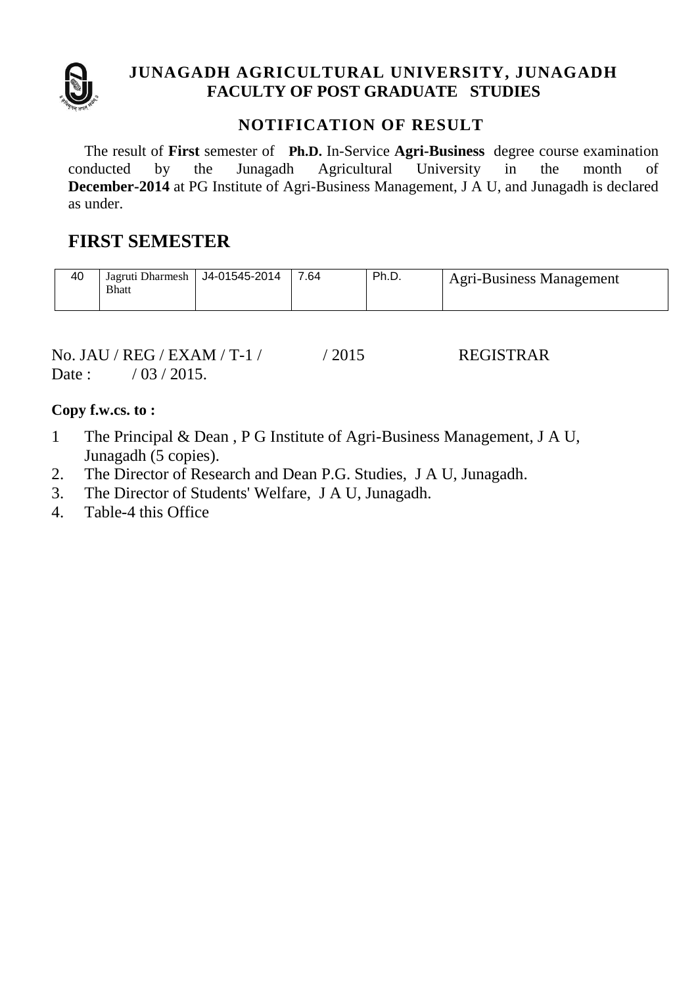

#### **JUNAGADH AGRICULTURAL UNIVERSITY, JUNAGADH FACULTY OF POST GRADUATE STUDIES**

#### **NOTIFICATION OF RESULT**

The result of **First** semester of **Ph.D.** In-Service **Agri-Business** degree course examination conducted by the Junagadh Agricultural University in the month of **December-2014** at PG Institute of Agri-Business Management, J A U, and Junagadh is declared as under.

# **FIRST SEMESTER**

| 40 | Jagruti Dharmesh<br><b>Bhatt</b> | J4-01545-2014 | 7.64 | Ph.D. | <b>Agri-Business Management</b> |
|----|----------------------------------|---------------|------|-------|---------------------------------|
|    |                                  |               |      |       |                                 |

No. JAU / REG / EXAM / T-1 / / 2015 REGISTRAR Date :  $/ 03 / 2015$ .

**Copy f.w.cs. to :**

- 1 The Principal & Dean , P G Institute of Agri-Business Management, J A U, Junagadh (5 copies).
- 2. The Director of Research and Dean P.G. Studies, J A U, Junagadh.
- 3. The Director of Students' Welfare, J A U, Junagadh.
- 4. Table-4 this Office